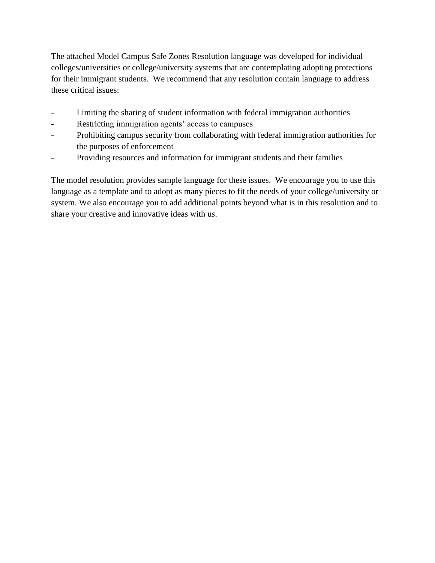The attached Model Campus Safe Zones Resolution language was developed for individual colleges/universities or college/university systems that are contemplating adopting protections for their immigrant students. We recommend that any resolution contain language to address these critical issues:

- Limiting the sharing of student information with federal immigration authorities
- Restricting immigration agents' access to campuses
- Prohibiting campus security from collaborating with federal immigration authorities for the purposes of enforcement
- Providing resources and information for immigrant students and their families

The model resolution provides sample language for these issues. We encourage you to use this language as a template and to adopt as many pieces to fit the needs of your college/university or system. We also encourage you to add additional points beyond what is in this resolution and to share your creative and innovative ideas with us.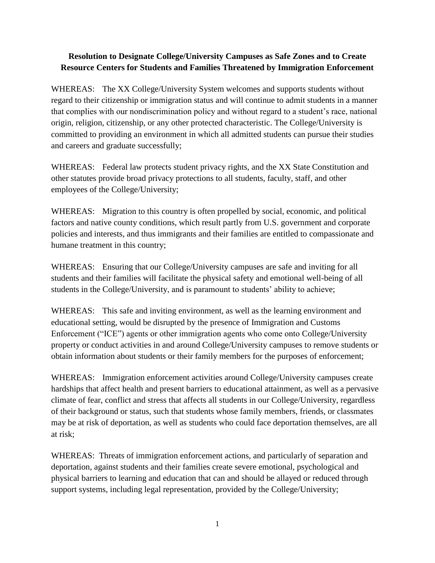## **Resolution to Designate College/University Campuses as Safe Zones and to Create Resource Centers for Students and Families Threatened by Immigration Enforcement**

WHEREAS: The XX College/University System welcomes and supports students without regard to their citizenship or immigration status and will continue to admit students in a manner that complies with our nondiscrimination policy and without regard to a student's race, national origin, religion, citizenship, or any other protected characteristic. The College/University is committed to providing an environment in which all admitted students can pursue their studies and careers and graduate successfully;

WHEREAS: Federal law protects student privacy rights, and the XX State Constitution and other statutes provide broad privacy protections to all students, faculty, staff, and other employees of the College/University;

WHEREAS: Migration to this country is often propelled by social, economic, and political factors and native county conditions, which result partly from U.S. government and corporate policies and interests, and thus immigrants and their families are entitled to compassionate and humane treatment in this country;

WHEREAS: Ensuring that our College/University campuses are safe and inviting for all students and their families will facilitate the physical safety and emotional well-being of all students in the College/University, and is paramount to students' ability to achieve;

WHEREAS: This safe and inviting environment, as well as the learning environment and educational setting, would be disrupted by the presence of Immigration and Customs Enforcement ("ICE") agents or other immigration agents who come onto College/University property or conduct activities in and around College/University campuses to remove students or obtain information about students or their family members for the purposes of enforcement;

WHEREAS: Immigration enforcement activities around College/University campuses create hardships that affect health and present barriers to educational attainment, as well as a pervasive climate of fear, conflict and stress that affects all students in our College/University, regardless of their background or status, such that students whose family members, friends, or classmates may be at risk of deportation, as well as students who could face deportation themselves, are all at risk;

WHEREAS: Threats of immigration enforcement actions, and particularly of separation and deportation, against students and their families create severe emotional, psychological and physical barriers to learning and education that can and should be allayed or reduced through support systems, including legal representation, provided by the College/University;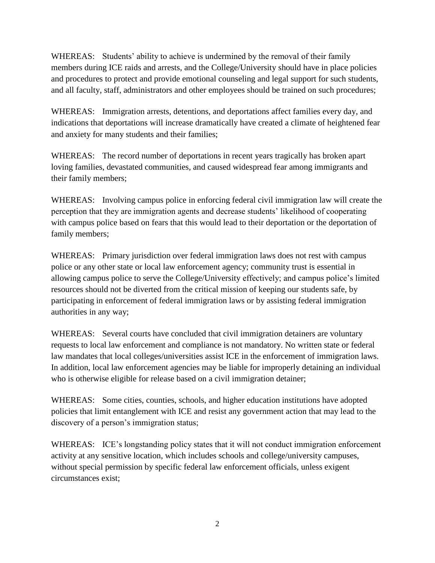WHEREAS: Students' ability to achieve is undermined by the removal of their family members during ICE raids and arrests, and the College/University should have in place policies and procedures to protect and provide emotional counseling and legal support for such students, and all faculty, staff, administrators and other employees should be trained on such procedures;

WHEREAS: Immigration arrests, detentions, and deportations affect families every day, and indications that deportations will increase dramatically have created a climate of heightened fear and anxiety for many students and their families;

WHEREAS: The record number of deportations in recent years tragically has broken apart loving families, devastated communities, and caused widespread fear among immigrants and their family members;

WHEREAS: Involving campus police in enforcing federal civil immigration law will create the perception that they are immigration agents and decrease students' likelihood of cooperating with campus police based on fears that this would lead to their deportation or the deportation of family members;

WHEREAS: Primary jurisdiction over federal immigration laws does not rest with campus police or any other state or local law enforcement agency; community trust is essential in allowing campus police to serve the College/University effectively; and campus police's limited resources should not be diverted from the critical mission of keeping our students safe, by participating in enforcement of federal immigration laws or by assisting federal immigration authorities in any way;

WHEREAS: Several courts have concluded that civil immigration detainers are voluntary requests to local law enforcement and compliance is not mandatory. No written state or federal law mandates that local colleges/universities assist ICE in the enforcement of immigration laws. In addition, local law enforcement agencies may be liable for improperly detaining an individual who is otherwise eligible for release based on a civil immigration detainer;

WHEREAS: Some cities, counties, schools, and higher education institutions have adopted policies that limit entanglement with ICE and resist any government action that may lead to the discovery of a person's immigration status;

WHEREAS: ICE's longstanding policy states that it will not conduct immigration enforcement activity at any sensitive location, which includes schools and college/university campuses, without special permission by specific federal law enforcement officials, unless exigent circumstances exist;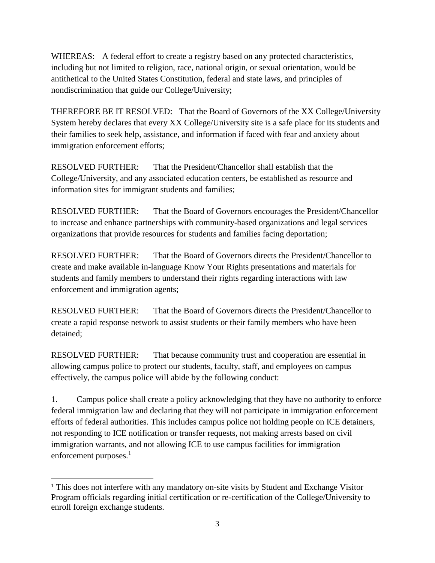WHEREAS: A federal effort to create a registry based on any protected characteristics, including but not limited to religion, race, national origin, or sexual orientation, would be antithetical to the United States Constitution, federal and state laws, and principles of nondiscrimination that guide our College/University;

THEREFORE BE IT RESOLVED: That the Board of Governors of the XX College/University System hereby declares that every XX College/University site is a safe place for its students and their families to seek help, assistance, and information if faced with fear and anxiety about immigration enforcement efforts;

RESOLVED FURTHER: That the President/Chancellor shall establish that the College/University, and any associated education centers, be established as resource and information sites for immigrant students and families;

RESOLVED FURTHER: That the Board of Governors encourages the President/Chancellor to increase and enhance partnerships with community-based organizations and legal services organizations that provide resources for students and families facing deportation;

RESOLVED FURTHER: That the Board of Governors directs the President/Chancellor to create and make available in-language Know Your Rights presentations and materials for students and family members to understand their rights regarding interactions with law enforcement and immigration agents;

RESOLVED FURTHER: That the Board of Governors directs the President/Chancellor to create a rapid response network to assist students or their family members who have been detained;

RESOLVED FURTHER: That because community trust and cooperation are essential in allowing campus police to protect our students, faculty, staff, and employees on campus effectively, the campus police will abide by the following conduct:

1. Campus police shall create a policy acknowledging that they have no authority to enforce federal immigration law and declaring that they will not participate in immigration enforcement efforts of federal authorities. This includes campus police not holding people on ICE detainers, not responding to ICE notification or transfer requests, not making arrests based on civil immigration warrants, and not allowing ICE to use campus facilities for immigration enforcement purposes.<sup>1</sup>

 $\overline{a}$ <sup>1</sup> This does not interfere with any mandatory on-site visits by Student and Exchange Visitor Program officials regarding initial certification or re-certification of the College/University to enroll foreign exchange students.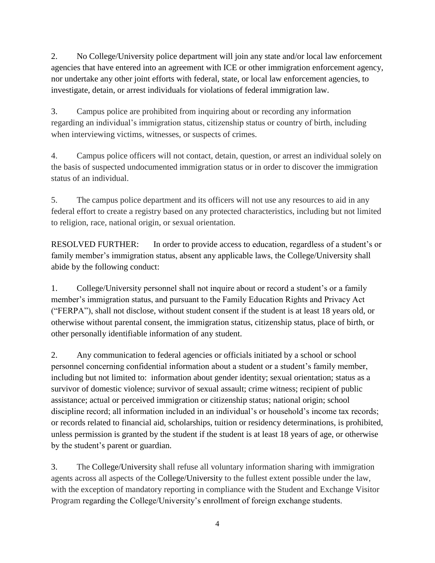2. No College/University police department will join any state and/or local law enforcement agencies that have entered into an agreement with ICE or other immigration enforcement agency, nor undertake any other joint efforts with federal, state, or local law enforcement agencies, to investigate, detain, or arrest individuals for violations of federal immigration law.

3. Campus police are prohibited from inquiring about or recording any information regarding an individual's immigration status, citizenship status or country of birth, including when interviewing victims, witnesses, or suspects of crimes.

4. Campus police officers will not contact, detain, question, or arrest an individual solely on the basis of suspected undocumented immigration status or in order to discover the immigration status of an individual.

5. The campus police department and its officers will not use any resources to aid in any federal effort to create a registry based on any protected characteristics, including but not limited to religion, race, national origin, or sexual orientation.

RESOLVED FURTHER: In order to provide access to education, regardless of a student's or family member's immigration status, absent any applicable laws, the College/University shall abide by the following conduct:

1. College/University personnel shall not inquire about or record a student's or a family member's immigration status, and pursuant to the Family Education Rights and Privacy Act ("FERPA"), shall not disclose, without student consent if the student is at least 18 years old, or otherwise without parental consent, the immigration status, citizenship status, place of birth, or other personally identifiable information of any student.

2. Any communication to federal agencies or officials initiated by a school or school personnel concerning confidential information about a student or a student's family member, including but not limited to: information about gender identity; sexual orientation; status as a survivor of domestic violence; survivor of sexual assault; crime witness; recipient of public assistance; actual or perceived immigration or citizenship status; national origin; school discipline record; all information included in an individual's or household's income tax records; or records related to financial aid, scholarships, tuition or residency determinations, is prohibited, unless permission is granted by the student if the student is at least 18 years of age, or otherwise by the student's parent or guardian.

3. The College/University shall refuse all voluntary information sharing with immigration agents across all aspects of the College/University to the fullest extent possible under the law, with the exception of mandatory reporting in compliance with the Student and Exchange Visitor Program regarding the College/University's enrollment of foreign exchange students.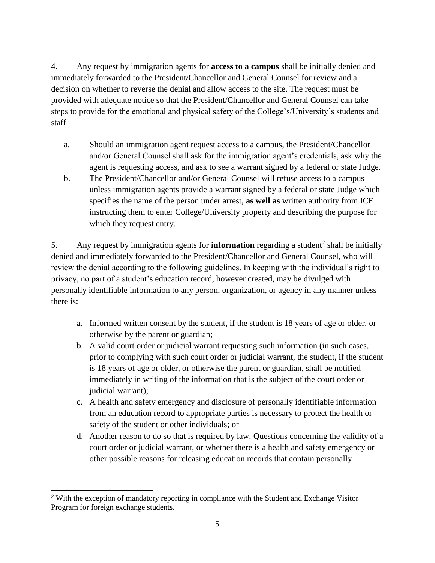4. Any request by immigration agents for **access to a campus** shall be initially denied and immediately forwarded to the President/Chancellor and General Counsel for review and a decision on whether to reverse the denial and allow access to the site. The request must be provided with adequate notice so that the President/Chancellor and General Counsel can take steps to provide for the emotional and physical safety of the College's/University's students and staff.

- a. Should an immigration agent request access to a campus, the President/Chancellor and/or General Counsel shall ask for the immigration agent's credentials, ask why the agent is requesting access, and ask to see a warrant signed by a federal or state Judge.
- b. The President/Chancellor and/or General Counsel will refuse access to a campus unless immigration agents provide a warrant signed by a federal or state Judge which specifies the name of the person under arrest, **as well as** written authority from ICE instructing them to enter College/University property and describing the purpose for which they request entry.

5. Any request by immigration agents for **information** regarding a student<sup>2</sup> shall be initially denied and immediately forwarded to the President/Chancellor and General Counsel, who will review the denial according to the following guidelines. In keeping with the individual's right to privacy, no part of a student's education record, however created, may be divulged with personally identifiable information to any person, organization, or agency in any manner unless there is:

- a. Informed written consent by the student, if the student is 18 years of age or older, or otherwise by the parent or guardian;
- b. A valid court order or judicial warrant requesting such information (in such cases, prior to complying with such court order or judicial warrant, the student, if the student is 18 years of age or older, or otherwise the parent or guardian, shall be notified immediately in writing of the information that is the subject of the court order or judicial warrant);
- c. A health and safety emergency and disclosure of personally identifiable information from an education record to appropriate parties is necessary to protect the health or safety of the student or other individuals; or
- d. Another reason to do so that is required by law. Questions concerning the validity of a court order or judicial warrant, or whether there is a health and safety emergency or other possible reasons for releasing education records that contain personally

 <sup>2</sup> With the exception of mandatory reporting in compliance with the Student and Exchange Visitor Program for foreign exchange students.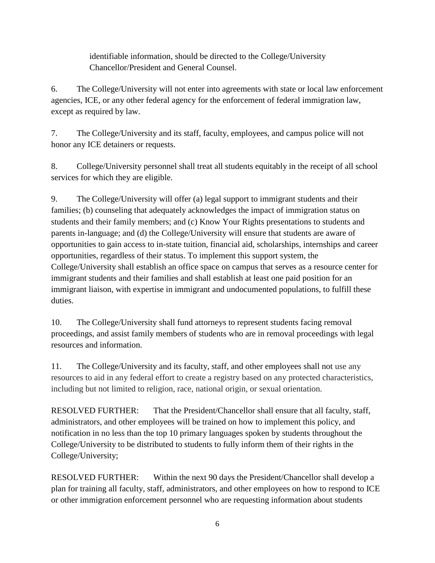identifiable information, should be directed to the College/University Chancellor/President and General Counsel.

6. The College/University will not enter into agreements with state or local law enforcement agencies, ICE, or any other federal agency for the enforcement of federal immigration law, except as required by law.

7. The College/University and its staff, faculty, employees, and campus police will not honor any ICE detainers or requests.

8. College/University personnel shall treat all students equitably in the receipt of all school services for which they are eligible.

9. The College/University will offer (a) legal support to immigrant students and their families; (b) counseling that adequately acknowledges the impact of immigration status on students and their family members; and (c) Know Your Rights presentations to students and parents in-language; and (d) the College/University will ensure that students are aware of opportunities to gain access to in-state tuition, financial aid, scholarships, internships and career opportunities, regardless of their status. To implement this support system, the College/University shall establish an office space on campus that serves as a resource center for immigrant students and their families and shall establish at least one paid position for an immigrant liaison, with expertise in immigrant and undocumented populations, to fulfill these duties.

10. The College/University shall fund attorneys to represent students facing removal proceedings, and assist family members of students who are in removal proceedings with legal resources and information.

11. The College/University and its faculty, staff, and other employees shall not use any resources to aid in any federal effort to create a registry based on any protected characteristics, including but not limited to religion, race, national origin, or sexual orientation.

RESOLVED FURTHER: That the President/Chancellor shall ensure that all faculty, staff, administrators, and other employees will be trained on how to implement this policy, and notification in no less than the top 10 primary languages spoken by students throughout the College/University to be distributed to students to fully inform them of their rights in the College/University;

RESOLVED FURTHER: Within the next 90 days the President/Chancellor shall develop a plan for training all faculty, staff, administrators, and other employees on how to respond to ICE or other immigration enforcement personnel who are requesting information about students